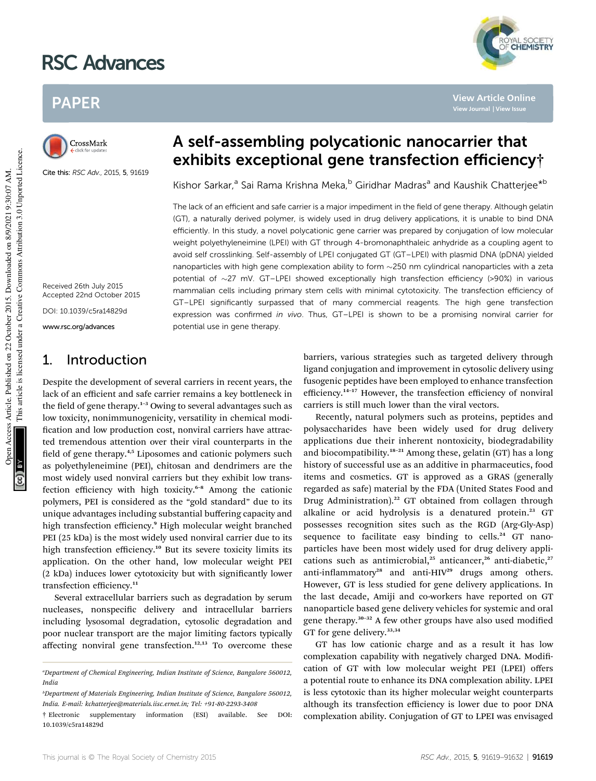# RSC Advances

# PAPER

CrossMark

Cite this: RSC Adv., 2015, 5, 91619

# A self-assembling polycationic nanocarrier that exhibits exceptional gene transfection efficiency†

Kishor Sarkar,<sup>a</sup> Sai Rama Krishna Meka,<sup>b</sup> Giridhar Madras<sup>a</sup> and Kaushik Chatterjee<sup>\*b</sup>

The lack of an efficient and safe carrier is a major impediment in the field of gene therapy. Although gelatin (GT), a naturally derived polymer, is widely used in drug delivery applications, it is unable to bind DNA efficiently. In this study, a novel polycationic gene carrier was prepared by conjugation of low molecular weight polyethyleneimine (LPEI) with GT through 4-bromonaphthaleic anhydride as a coupling agent to avoid self crosslinking. Self-assembly of LPEI conjugated GT (GT–LPEI) with plasmid DNA (pDNA) yielded nanoparticles with high gene complexation ability to form  $\sim$ 250 nm cylindrical nanoparticles with a zeta potential of  $\sim$ 27 mV. GT–LPEI showed exceptionally high transfection efficiency (>90%) in various mammalian cells including primary stem cells with minimal cytotoxicity. The transfection efficiency of GT–LPEI significantly surpassed that of many commercial reagents. The high gene transfection expression was confirmed in vivo. Thus, GT-LPEI is shown to be a promising nonviral carrier for potential use in gene therapy.

Received 26th July 2015 Accepted 22nd October 2015

DOI: 10.1039/c5ra14829d

www.rsc.org/advances

## 1. Introduction

Despite the development of several carriers in recent years, the lack of an efficient and safe carrier remains a key bottleneck in the field of gene therapy.<sup>1–3</sup> Owing to several advantages such as low toxicity, nonimmunogenicity, versatility in chemical modi fication and low production cost, nonviral carriers have attracted tremendous attention over their viral counterparts in the field of gene therapy.<sup>4,5</sup> Liposomes and cationic polymers such as polyethyleneimine (PEI), chitosan and dendrimers are the most widely used nonviral carriers but they exhibit low transfection efficiency with high toxicity.<sup>6–8</sup> Among the cationic polymers, PEI is considered as the "gold standard" due to its unique advantages including substantial buffering capacity and high transfection efficiency.<sup>9</sup> High molecular weight branched PEI (25 kDa) is the most widely used nonviral carrier due to its high transfection efficiency.<sup>10</sup> But its severe toxicity limits its application. On the other hand, low molecular weight PEI (2 kDa) induces lower cytotoxicity but with signicantly lower transfection efficiency.<sup>11</sup>

Several extracellular barriers such as degradation by serum nucleases, nonspecific delivery and intracellular barriers including lysosomal degradation, cytosolic degradation and poor nuclear transport are the major limiting factors typically affecting nonviral gene transfection.<sup>12,13</sup> To overcome these barriers, various strategies such as targeted delivery through ligand conjugation and improvement in cytosolic delivery using fusogenic peptides have been employed to enhance transfection efficiency.<sup>14</sup>–<sup>17</sup> However, the transfection efficiency of nonviral carriers is still much lower than the viral vectors.

Recently, natural polymers such as proteins, peptides and polysaccharides have been widely used for drug delivery applications due their inherent nontoxicity, biodegradability and biocompatibility.<sup>18-21</sup> Among these, gelatin (GT) has a long history of successful use as an additive in pharmaceutics, food items and cosmetics. GT is approved as a GRAS (generally regarded as safe) material by the FDA (United States Food and Drug Administration).<sup>22</sup> GT obtained from collagen through alkaline or acid hydrolysis is a denatured protein.<sup>23</sup> GT possesses recognition sites such as the RGD (Arg-Gly-Asp) sequence to facilitate easy binding to cells.<sup>24</sup> GT nanoparticles have been most widely used for drug delivery applications such as antimicrobial,<sup>25</sup> anticancer,<sup>26</sup> anti-diabetic,<sup>27</sup> anti-inflammatory<sup>28</sup> and anti-HIV<sup>29</sup> drugs among others. However, GT is less studied for gene delivery applications. In the last decade, Amiji and co-workers have reported on GT nanoparticle based gene delivery vehicles for systemic and oral gene therapy.<sup>30-32</sup> A few other groups have also used modified GT for gene delivery.<sup>33,34</sup>

GT has low cationic charge and as a result it has low complexation capability with negatively charged DNA. Modification of GT with low molecular weight PEI (LPEI) offers a potential route to enhance its DNA complexation ability. LPEI is less cytotoxic than its higher molecular weight counterparts although its transfection efficiency is lower due to poor DNA complexation ability. Conjugation of GT to LPEI was envisaged



**View Article Online View Journal | View Issue**

*<sup>a</sup>Department of Chemical Engineering, Indian Institute of Science, Bangalore 560012, India*

*<sup>b</sup>Department of Materials Engineering, Indian Institute of Science, Bangalore 560012, India. E-mail: kchatterjee@materials.iisc.ernet.in; Tel: +91-80-2293-3408*

<sup>†</sup> Electronic supplementary information (ESI) available. See DOI: 10.1039/c5ra14829d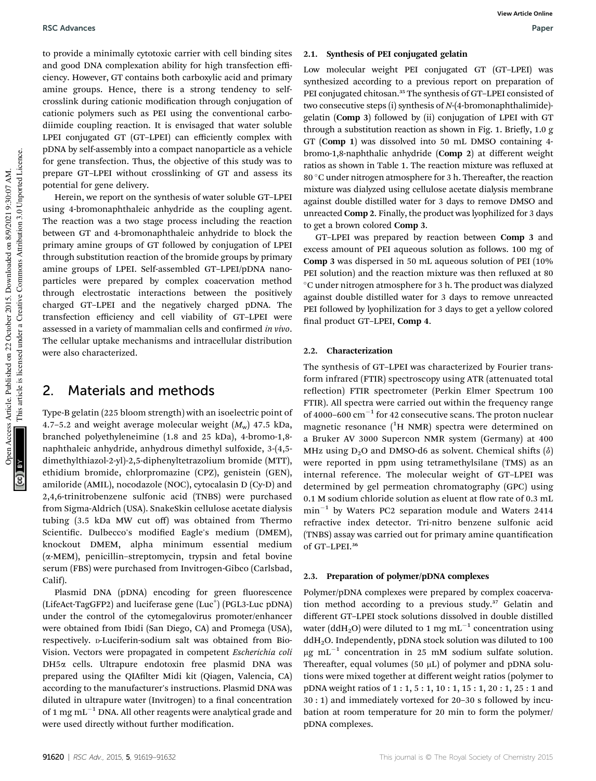to provide a minimally cytotoxic carrier with cell binding sites and good DNA complexation ability for high transfection efficiency. However, GT contains both carboxylic acid and primary amine groups. Hence, there is a strong tendency to selfcrosslink during cationic modification through conjugation of cationic polymers such as PEI using the conventional carbodiimide coupling reaction. It is envisaged that water soluble LPEI conjugated GT (GT–LPEI) can efficiently complex with pDNA by self-assembly into a compact nanoparticle as a vehicle for gene transfection. Thus, the objective of this study was to prepare GT–LPEI without crosslinking of GT and assess its potential for gene delivery.

Herein, we report on the synthesis of water soluble GT–LPEI using 4-bromonaphthaleic anhydride as the coupling agent. The reaction was a two stage process including the reaction between GT and 4-bromonaphthaleic anhydride to block the primary amine groups of GT followed by conjugation of LPEI through substitution reaction of the bromide groups by primary amine groups of LPEI. Self-assembled GT–LPEI/pDNA nanoparticles were prepared by complex coacervation method through electrostatic interactions between the positively charged GT–LPEI and the negatively charged pDNA. The transfection efficiency and cell viability of GT–LPEI were assessed in a variety of mammalian cells and confirmed *in vivo*. The cellular uptake mechanisms and intracellular distribution were also characterized.

## 2. Materials and methods

Type-B gelatin (225 bloom strength) with an isoelectric point of 4.7-5.2 and weight average molecular weight  $(M_w)$  47.5 kDa, branched polyethyleneimine (1.8 and 25 kDa), 4-bromo-1,8 naphthaleic anhydride, anhydrous dimethyl sulfoxide, 3-(4,5 dimethylthiazol-2-yl)-2,5-diphenyltetrazolium bromide (MTT), ethidium bromide, chlorpromazine (CPZ), genistein (GEN), amiloride (AMIL), nocodazole (NOC), cytocalasin D (Cy-D) and 2,4,6-trinitrobenzene sulfonic acid (TNBS) were purchased from Sigma-Aldrich (USA). SnakeSkin cellulose acetate dialysis tubing (3.5 kDa MW cut off) was obtained from Thermo Scientific. Dulbecco's modified Eagle's medium (DMEM), knockout DMEM, alpha minimum essential medium  $(\alpha$ -MEM), penicillin-streptomycin, trypsin and fetal bovine serum (FBS) were purchased from Invitrogen-Gibco (Carlsbad, Calif).

Plasmid DNA (pDNA) encoding for green fluorescence (LifeAct-TagGFP2) and luciferase gene (Luc<sup>+</sup>) (PGL3-Luc pDNA) under the control of the cytomegalovirus promoter/enhancer were obtained from Ibidi (San Diego, CA) and Promega (USA), respectively. <sup>D</sup>-Luciferin-sodium salt was obtained from Bio-Vision. Vectors were propagated in competent *Escherichia coli* DH5a cells. Ultrapure endotoxin free plasmid DNA was prepared using the QIAfilter Midi kit (Qiagen, Valencia, CA) according to the manufacturer's instructions. Plasmid DNA was diluted in ultrapure water (Invitrogen) to a final concentration of 1 mg  $mL^{-1}$  DNA. All other reagents were analytical grade and were used directly without further modification.

## 2.1. Synthesis of PEI conjugated gelatin

Low molecular weight PEI conjugated GT (GT–LPEI) was synthesized according to a previous report on preparation of PEI conjugated chitosan.<sup>35</sup> The synthesis of GT-LPEI consisted of two consecutive steps (i) synthesis of *N*-(4-bromonaphthalimide) gelatin (Comp 3) followed by (ii) conjugation of LPEI with GT through a substitution reaction as shown in Fig. 1. Briefly,  $1.0 g$ GT (Comp 1) was dissolved into 50 mL DMSO containing 4 bromo-1,8-naphthalic anhydride (Comp 2) at different weight ratios as shown in Table 1. The reaction mixture was refluxed at  $80^{\circ}$ C under nitrogen atmosphere for 3 h. Thereafter, the reaction mixture was dialyzed using cellulose acetate dialysis membrane against double distilled water for 3 days to remove DMSO and unreacted Comp 2. Finally, the product was lyophilized for 3 days to get a brown colored Comp 3.

GT–LPEI was prepared by reaction between Comp 3 and excess amount of PEI aqueous solution as follows. 100 mg of Comp 3 was dispersed in 50 mL aqueous solution of PEI (10% PEI solution) and the reaction mixture was then refluxed at 80 C under nitrogen atmosphere for 3 h. The product was dialyzed against double distilled water for 3 days to remove unreacted PEI followed by lyophilization for 3 days to get a yellow colored final product GT-LPEI, Comp 4.

### 2.2. Characterization

The synthesis of GT–LPEI was characterized by Fourier transform infrared (FTIR) spectroscopy using ATR (attenuated total reflection) FTIR spectrometer (Perkin Elmer Spectrum 100 FTIR). All spectra were carried out within the frequency range of 4000-600  $\text{cm}^{-1}$  for 42 consecutive scans. The proton nuclear magnetic resonance  $(^1H$  NMR) spectra were determined on a Bruker AV 3000 Supercon NMR system (Germany) at 400 MHz using  $D_2O$  and DMSO-d6 as solvent. Chemical shifts  $(\delta)$ were reported in ppm using tetramethylsilane (TMS) as an internal reference. The molecular weight of GT–LPEI was determined by gel permeation chromatography (GPC) using  $0.1$  M sodium chloride solution as eluent at flow rate of  $0.3$  mL  $min^{-1}$  by Waters PC2 separation module and Waters 2414 refractive index detector. Tri-nitro benzene sulfonic acid (TNBS) assay was carried out for primary amine quantification of GT–LPEI.<sup>36</sup>

## 2.3. Preparation of polymer/pDNA complexes

Polymer/pDNA complexes were prepared by complex coacervation method according to a previous study.<sup>37</sup> Gelatin and different GT–LPEI stock solutions dissolved in double distilled water (ddH<sub>2</sub>O) were diluted to 1 mg mL $^{-1}$  concentration using  $ddH<sub>2</sub>O$ . Independently, pDNA stock solution was diluted to 100  $\mu$ g mL<sup>-1</sup> concentration in 25 mM sodium sulfate solution. Thereafter, equal volumes (50  $\mu$ L) of polymer and pDNA solutions were mixed together at different weight ratios (polymer to pDNA weight ratios of 1 : 1, 5 : 1, 10 : 1, 15 : 1, 20 : 1, 25 : 1 and 30 : 1) and immediately vortexed for 20–30 s followed by incubation at room temperature for 20 min to form the polymer/ pDNA complexes.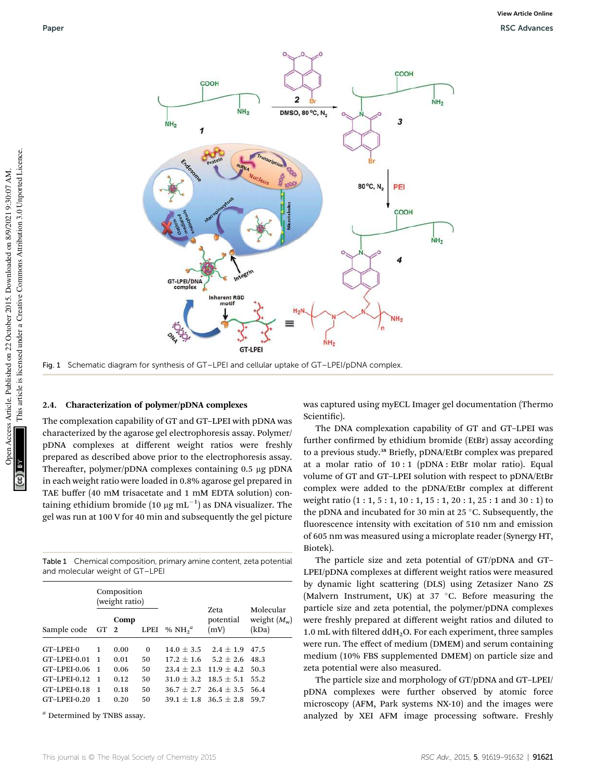

Fig. 1 Schematic diagram for synthesis of GT–LPEI and cellular uptake of GT–LPEI/pDNA complex.

#### 2.4. Characterization of polymer/pDNA complexes

The complexation capability of GT and GT–LPEI with pDNA was characterized by the agarose gel electrophoresis assay. Polymer/ pDNA complexes at different weight ratios were freshly prepared as described above prior to the electrophoresis assay. Thereafter, polymer/pDNA complexes containing 0.5 µg pDNA in each weight ratio were loaded in 0.8% agarose gel prepared in TAE buffer (40 mM trisacetate and 1 mM EDTA solution) containing ethidium bromide (10  $\mu{\rm g\;m}$ L $^{-1})$  as DNA visualizer. The gel was run at 100 V for 40 min and subsequently the gel picture

Table 1 Chemical composition, primary amine content, zeta potential and molecular weight of GT–LPEI

| Sample code  | Composition<br>(weight ratio) |      |             |              |                           |                                            |
|--------------|-------------------------------|------|-------------|--------------|---------------------------|--------------------------------------------|
|              | GT 2                          | Comp | <b>LPEI</b> | % $NH2a$     | Zeta<br>potential<br>(mV) | Molecular<br>weight $(M_{\rm w})$<br>(kDa) |
| GT-LPEI-0    | 1                             | 0.00 | $\Omega$    | $14.0 + 3.5$ | $2.4 + 1.9$               | 47.5                                       |
| GT-LPEI-0.01 | -1                            | 0.01 | 50          | $17.2 + 1.6$ | $5.2 + 2.6$               | 48.3                                       |
| GT-LPEI-0.06 | $\overline{1}$                | 0.06 | 50          | $23.4 + 2.3$ | $11.9 + 4.2$              | 50.3                                       |
| GT-LPEI-0.12 | $\mathbf{1}$                  | 0.12 | 50          | $31.0 + 3.2$ | $18.5 + 5.1$              | 55.2                                       |
| GT-LPEI-0.18 | $\mathbf{1}$                  | 0.18 | 50          | $36.7 + 2.7$ | $26.4 + 3.5$              | 56.4                                       |
| GT-LPEI-0.20 | -1                            | 0.20 | 50          | $39.1 + 1.8$ | $36.5 + 2.8$              | 59.7                                       |

*<sup>a</sup>* Determined by TNBS assay.

was captured using myECL Imager gel documentation (Thermo Scientific).

The DNA complexation capability of GT and GT–LPEI was further confirmed by ethidium bromide (EtBr) assay according to a previous study.<sup>38</sup> Briefly, pDNA/EtBr complex was prepared at a molar ratio of 10 : 1 (pDNA : EtBr molar ratio). Equal volume of GT and GT–LPEI solution with respect to pDNA/EtBr complex were added to the pDNA/EtBr complex at different weight ratio  $(1:1, 5:1, 10:1, 15:1, 20:1, 25:1$  and  $30:1$  to the pDNA and incubated for 30 min at 25  $\degree$ C. Subsequently, the uorescence intensity with excitation of 510 nm and emission of 605 nm was measured using a microplate reader (Synergy HT, Biotek).

The particle size and zeta potential of GT/pDNA and GT– LPEI/pDNA complexes at different weight ratios were measured by dynamic light scattering (DLS) using Zetasizer Nano ZS (Malvern Instrument, UK) at 37  $\degree$ C. Before measuring the particle size and zeta potential, the polymer/pDNA complexes were freshly prepared at different weight ratios and diluted to 1.0 mL with filtered  $ddH<sub>2</sub>O$ . For each experiment, three samples were run. The effect of medium (DMEM) and serum containing medium (10% FBS supplemented DMEM) on particle size and zeta potential were also measured.

The particle size and morphology of GT/pDNA and GT–LPEI/ pDNA complexes were further observed by atomic force microscopy (AFM, Park systems NX-10) and the images were analyzed by XEI AFM image processing software. Freshly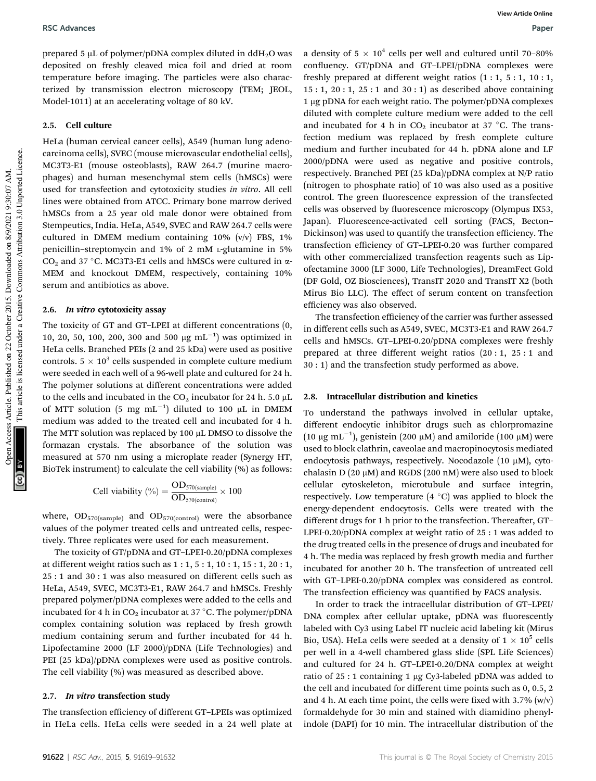prepared 5  $\mu$ L of polymer/pDNA complex diluted in ddH<sub>2</sub>O was deposited on freshly cleaved mica foil and dried at room temperature before imaging. The particles were also characterized by transmission electron microscopy (TEM; JEOL, Model-1011) at an accelerating voltage of 80 kV.

## 2.5. Cell culture

HeLa (human cervical cancer cells), A549 (human lung adenocarcinoma cells), SVEC (mouse microvascular endothelial cells), MC3T3-E1 (mouse osteoblasts), RAW 264.7 (murine macrophages) and human mesenchymal stem cells (hMSCs) were used for transfection and cytotoxicity studies *in vitro*. All cell lines were obtained from ATCC. Primary bone marrow derived hMSCs from a 25 year old male donor were obtained from Stempeutics, India. HeLa, A549, SVEC and RAW 264.7 cells were cultured in DMEM medium containing 10% (v/v) FBS, 1% penicillin–streptomycin and 1% of 2 mM <sup>L</sup>-glutamine in 5% CO<sub>2</sub> and 37 °C. MC3T3-E1 cells and hMSCs were cultured in  $\alpha$ -MEM and knockout DMEM, respectively, containing 10% serum and antibiotics as above.

## 2.6. In vitro cytotoxicity assay

The toxicity of GT and GT–LPEI at different concentrations (0, 10, 20, 50, 100, 200, 300 and 500  $\mu$ g mL<sup>-1</sup>) was optimized in HeLa cells. Branched PEIs (2 and 25 kDa) were used as positive controls.  $5 \times 10^3$  cells suspended in complete culture medium were seeded in each well of a 96-well plate and cultured for 24 h. The polymer solutions at different concentrations were added to the cells and incubated in the  $CO_2$  incubator for 24 h. 5.0  $\mu$ L of MTT solution (5 mg  $mL^{-1}$ ) diluted to 100  $\mu$ L in DMEM medium was added to the treated cell and incubated for 4 h. The MTT solution was replaced by 100  $\mu$ L DMSO to dissolve the formazan crystals. The absorbance of the solution was measured at 570 nm using a microplate reader (Synergy HT, BioTek instrument) to calculate the cell viability (%) as follows:

Cell viability (
$$
\%
$$
) =  $\frac{OD_{570(sample)}}{OD_{570(control)}} \times 100$ 

where,  $OD_{570(sample)}$  and  $OD_{570(control)}$  were the absorbance values of the polymer treated cells and untreated cells, respectively. Three replicates were used for each measurement.

The toxicity of GT/pDNA and GT–LPEI-0.20/pDNA complexes at different weight ratios such as 1 : 1, 5 : 1, 10 : 1, 15 : 1, 20 : 1, 25 : 1 and 30 : 1 was also measured on different cells such as HeLa, A549, SVEC, MC3T3-E1, RAW 264.7 and hMSCs. Freshly prepared polymer/pDNA complexes were added to the cells and incubated for 4 h in  $CO<sub>2</sub>$  incubator at 37 °C. The polymer/pDNA complex containing solution was replaced by fresh growth medium containing serum and further incubated for 44 h. Lipofectamine 2000 (LF 2000)/pDNA (Life Technologies) and PEI (25 kDa)/pDNA complexes were used as positive controls. The cell viability (%) was measured as described above.

#### 2.7. In vitro transfection study

The transfection efficiency of different GT–LPEIs was optimized in HeLa cells. HeLa cells were seeded in a 24 well plate at

a density of 5  $\times$  10<sup>4</sup> cells per well and cultured until 70-80% confluency. GT/pDNA and GT-LPEI/pDNA complexes were freshly prepared at different weight ratios  $(1:1, 5:1, 10:1, 10:1)$ 15 : 1, 20 : 1, 25 : 1 and 30 : 1) as described above containing 1 µg pDNA for each weight ratio. The polymer/pDNA complexes diluted with complete culture medium were added to the cell and incubated for 4 h in  $CO<sub>2</sub>$  incubator at 37 °C. The transfection medium was replaced by fresh complete culture medium and further incubated for 44 h. pDNA alone and LF 2000/pDNA were used as negative and positive controls, respectively. Branched PEI (25 kDa)/pDNA complex at N/P ratio (nitrogen to phosphate ratio) of 10 was also used as a positive control. The green fluorescence expression of the transfected cells was observed by fluorescence microscopy (Olympus IX53, Japan). Fluorescence-activated cell sorting (FACS, Becton– Dickinson) was used to quantify the transfection efficiency. The transfection efficiency of GT–LPEI-0.20 was further compared with other commercialized transfection reagents such as Lipofectamine 3000 (LF 3000, Life Technologies), DreamFect Gold (DF Gold, OZ Biosciences), TransIT 2020 and TransIT X2 (both Mirus Bio LLC). The effect of serum content on transfection efficiency was also observed.

The transfection efficiency of the carrier was further assessed in different cells such as A549, SVEC, MC3T3-E1 and RAW 264.7 cells and hMSCs. GT–LPEI-0.20/pDNA complexes were freshly prepared at three different weight ratios (20 : 1, 25 : 1 and 30 : 1) and the transfection study performed as above.

## 2.8. Intracellular distribution and kinetics

To understand the pathways involved in cellular uptake, different endocytic inhibitor drugs such as chlorpromazine (10 µg mL<sup>-1</sup>), genistein (200 µM) and amiloride (100 µM) were used to block clathrin, caveolae and macropinocytosis mediated endocytosis pathways, respectively. Nocodazole  $(10 \mu M)$ , cytochalasin D (20  $\mu$ M) and RGDS (200 nM) were also used to block cellular cytoskeleton, microtubule and surface integrin, respectively. Low temperature  $(4 \degree C)$  was applied to block the energy-dependent endocytosis. Cells were treated with the different drugs for 1 h prior to the transfection. Thereafter, GT-LPEI-0.20/pDNA complex at weight ratio of 25 : 1 was added to the drug treated cells in the presence of drugs and incubated for 4 h. The media was replaced by fresh growth media and further incubated for another 20 h. The transfection of untreated cell with GT–LPEI-0.20/pDNA complex was considered as control. The transfection efficiency was quantified by FACS analysis.

In order to track the intracellular distribution of GT–LPEI/ DNA complex after cellular uptake, pDNA was fluorescently labeled with Cy3 using Label IT nucleic acid labeling kit (Mirus Bio, USA). HeLa cells were seeded at a density of  $1 \times 10^5$  cells per well in a 4-well chambered glass slide (SPL Life Sciences) and cultured for 24 h. GT–LPEI-0.20/DNA complex at weight ratio of  $25:1$  containing 1 µg Cy3-labeled pDNA was added to the cell and incubated for different time points such as 0, 0.5, 2 and 4 h. At each time point, the cells were fixed with  $3.7\%$  (w/v) formaldehyde for 30 min and stained with diamidino phenylindole (DAPI) for 10 min. The intracellular distribution of the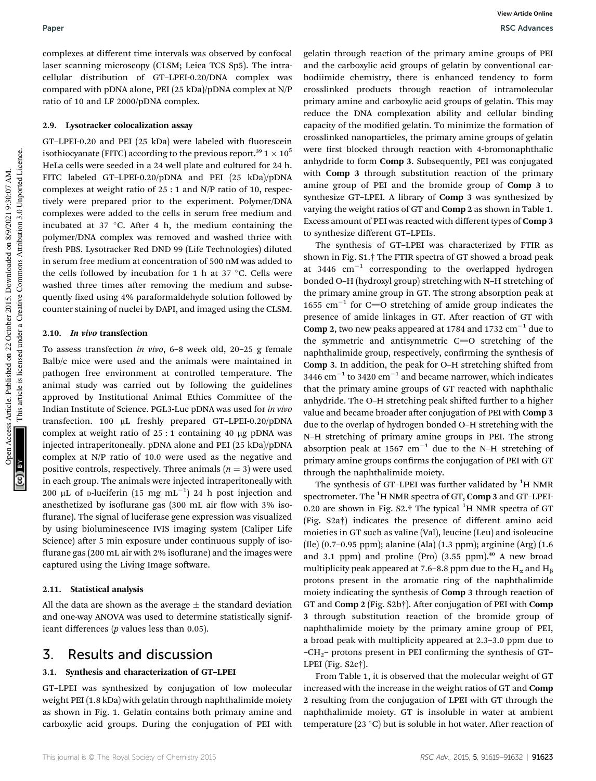Paper RSC Advances **View Article Online**

complexes at different time intervals was observed by confocal laser scanning microscopy (CLSM; Leica TCS Sp5). The intracellular distribution of GT–LPEI-0.20/DNA complex was compared with pDNA alone, PEI (25 kDa)/pDNA complex at N/P ratio of 10 and LF 2000/pDNA complex.

## 2.9. Lysotracker colocalization assay

GT–LPEI-0.20 and PEI (25 kDa) were labeled with uorescein isothiocyanate (FITC) according to the previous report.<sup>39</sup>  $1 \times 10^5$ HeLa cells were seeded in a 24 well plate and cultured for 24 h. FITC labeled GT–LPEI-0.20/pDNA and PEI (25 kDa)/pDNA complexes at weight ratio of 25 : 1 and N/P ratio of 10, respectively were prepared prior to the experiment. Polymer/DNA complexes were added to the cells in serum free medium and incubated at 37  $\degree$ C. After 4 h, the medium containing the polymer/DNA complex was removed and washed thrice with fresh PBS. Lysotracker Red DND 99 (Life Technologies) diluted in serum free medium at concentration of 500 nM was added to the cells followed by incubation for 1 h at 37  $\degree$ C. Cells were washed three times after removing the medium and subsequently fixed using 4% paraformaldehyde solution followed by counter staining of nuclei by DAPI, and imaged using the CLSM.

## 2.10. In vivo transfection

To assess transfection *in vivo*, 6–8 week old, 20–25 g female Balb/c mice were used and the animals were maintained in pathogen free environment at controlled temperature. The animal study was carried out by following the guidelines approved by Institutional Animal Ethics Committee of the Indian Institute of Science. PGL3-Luc pDNA was used for *in vivo* transfection. 100  $\mu$ L freshly prepared GT–LPEI-0.20/pDNA complex at weight ratio of  $25:1$  containing 40 µg pDNA was injected intraperitoneally. pDNA alone and PEI (25 kDa)/pDNA complex at N/P ratio of 10.0 were used as the negative and positive controls, respectively. Three animals  $(n = 3)$  were used in each group. The animals were injected intraperitoneally with 200 µL of p-luciferin (15 mg  $mL^{-1}$ ) 24 h post injection and anesthetized by isoflurane gas  $(300 \text{ mL air flow with } 3\% \text{ iso-}$ flurane). The signal of luciferase gene expression was visualized by using bioluminescence IVIS imaging system (Caliper Life Science) after 5 min exposure under continuous supply of isoflurane gas  $(200 \text{ mL air with } 2\% \text{ isoflurane})$  and the images were captured using the Living Image software.

## 2.11. Statistical analysis

All the data are shown as the average  $\pm$  the standard deviation and one-way ANOVA was used to determine statistically significant differences (*p* values less than 0.05).

## 3. Results and discussion

## 3.1. Synthesis and characterization of GT–LPEI

GT–LPEI was synthesized by conjugation of low molecular weight PEI (1.8 kDa) with gelatin through naphthalimide moiety as shown in Fig. 1. Gelatin contains both primary amine and carboxylic acid groups. During the conjugation of PEI with

gelatin through reaction of the primary amine groups of PEI and the carboxylic acid groups of gelatin by conventional carbodiimide chemistry, there is enhanced tendency to form crosslinked products through reaction of intramolecular primary amine and carboxylic acid groups of gelatin. This may reduce the DNA complexation ability and cellular binding capacity of the modified gelatin. To minimize the formation of crosslinked nanoparticles, the primary amine groups of gelatin were first blocked through reaction with 4-bromonaphthalic anhydride to form Comp 3. Subsequently, PEI was conjugated with Comp 3 through substitution reaction of the primary amine group of PEI and the bromide group of Comp 3 to synthesize GT–LPEI. A library of Comp 3 was synthesized by varying the weight ratios of GT and Comp 2 as shown in Table 1. Excess amount of PEI was reacted with different types of Comp 3 to synthesize different GT–LPEIs.

The synthesis of GT–LPEI was characterized by FTIR as shown in Fig. S1.† The FTIR spectra of GT showed a broad peak at 3446  $\text{cm}^{-1}$  corresponding to the overlapped hydrogen bonded O–H (hydroxyl group) stretching with N–H stretching of the primary amine group in GT. The strong absorption peak at 1655  $\text{cm}^{-1}$  for C=O stretching of amide group indicates the presence of amide linkages in GT. After reaction of GT with Comp 2, two new peaks appeared at 1784 and 1732  $\mathrm{cm}^{-1}$  due to the symmetric and antisymmetric  $C=O$  stretching of the naphthalimide group, respectively, confirming the synthesis of Comp 3. In addition, the peak for O-H stretching shifted from 3446  $\text{cm}^{-1}$  to 3420  $\text{cm}^{-1}$  and became narrower, which indicates that the primary amine groups of GT reacted with naphthalic anhydride. The O-H stretching peak shifted further to a higher value and became broader after conjugation of PEI with Comp 3 due to the overlap of hydrogen bonded O–H stretching with the N–H stretching of primary amine groups in PEI. The strong absorption peak at 1567  $cm^{-1}$  due to the N-H stretching of primary amine groups confirms the conjugation of PEI with GT through the naphthalimide moiety.

The synthesis of GT–LPEI was further validated by  ${}^{1}H$  NMR spectrometer. The  ${}^{1}$ H NMR spectra of GT, Comp 3 and GT-LPEI-0.20 are shown in Fig.  $S2.$ † The typical <sup>1</sup>H NMR spectra of GT (Fig. S2a†) indicates the presence of different amino acid moieties in GT such as valine (Val), leucine (Leu) and isoleucine (Ile) (0.7–0.95 ppm); alanine (Ala) (1.3 ppm); arginine (Arg) (1.6 and 3.1 ppm) and proline (Pro)  $(3.55$  ppm). $40$  A new broad multiplicity peak appeared at 7.6–8.8 ppm due to the  $H_{\alpha}$  and  $H_{\beta}$ protons present in the aromatic ring of the naphthalimide moiety indicating the synthesis of Comp 3 through reaction of GT and Comp 2 (Fig. S2b†). After conjugation of PEI with Comp 3 through substitution reaction of the bromide group of naphthalimide moiety by the primary amine group of PEI, a broad peak with multiplicity appeared at 2.3–3.0 ppm due to  $-CH<sub>2</sub>$ – protons present in PEI confirming the synthesis of GT– LPEI (Fig. S2c†).

From Table 1, it is observed that the molecular weight of GT increased with the increase in the weight ratios of GT and Comp 2 resulting from the conjugation of LPEI with GT through the naphthalimide moiety. GT is insoluble in water at ambient temperature (23 $^{\circ}$ C) but is soluble in hot water. After reaction of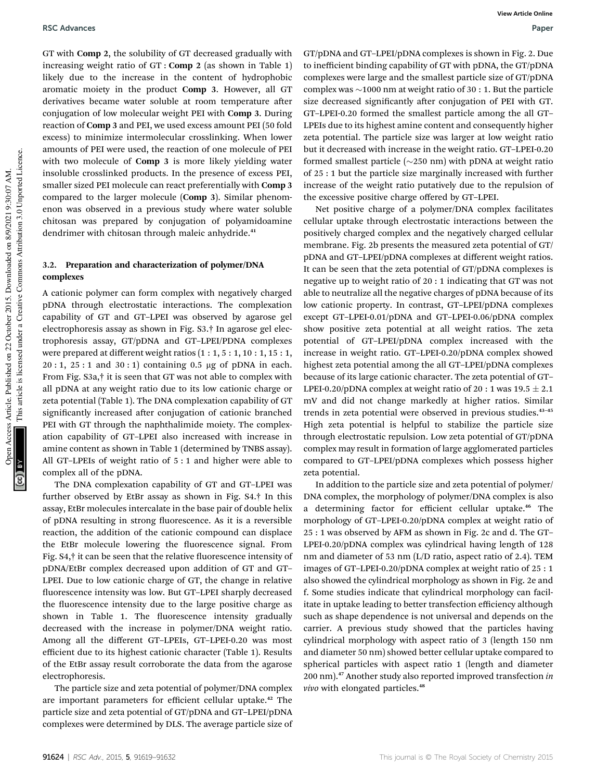GT with Comp 2, the solubility of GT decreased gradually with increasing weight ratio of GT : Comp 2 (as shown in Table 1) likely due to the increase in the content of hydrophobic aromatic moiety in the product Comp 3. However, all GT derivatives became water soluble at room temperature after conjugation of low molecular weight PEI with Comp 3. During reaction of Comp 3 and PEI, we used excess amount PEI (50 fold excess) to minimize intermolecular crosslinking. When lower amounts of PEI were used, the reaction of one molecule of PEI with two molecule of Comp 3 is more likely yielding water insoluble crosslinked products. In the presence of excess PEI, smaller sized PEI molecule can react preferentially with Comp 3 compared to the larger molecule (Comp 3). Similar phenomenon was observed in a previous study where water soluble chitosan was prepared by conjugation of polyamidoamine dendrimer with chitosan through maleic anhydride.<sup>41</sup>

## 3.2. Preparation and characterization of polymer/DNA complexes

A cationic polymer can form complex with negatively charged pDNA through electrostatic interactions. The complexation capability of GT and GT–LPEI was observed by agarose gel electrophoresis assay as shown in Fig. S3.† In agarose gel electrophoresis assay, GT/pDNA and GT–LPEI/PDNA complexes were prepared at different weight ratios  $(1:1, 5:1, 10:1, 15:1,$  $20:1$ ,  $25:1$  and  $30:1$ ) containing 0.5 µg of pDNA in each. From Fig. S3a,† it is seen that GT was not able to complex with all pDNA at any weight ratio due to its low cationic charge or zeta potential (Table 1). The DNA complexation capability of GT significantly increased after conjugation of cationic branched PEI with GT through the naphthalimide moiety. The complexation capability of GT–LPEI also increased with increase in amine content as shown in Table 1 (determined by TNBS assay). All GT–LPEIs of weight ratio of 5 : 1 and higher were able to complex all of the pDNA.

The DNA complexation capability of GT and GT–LPEI was further observed by EtBr assay as shown in Fig. S4.† In this assay, EtBr molecules intercalate in the base pair of double helix of pDNA resulting in strong fluorescence. As it is a reversible reaction, the addition of the cationic compound can displace the EtBr molecule lowering the fluorescence signal. From Fig.  $S4$ , $\dagger$  it can be seen that the relative fluorescence intensity of pDNA/EtBr complex decreased upon addition of GT and GT– LPEI. Due to low cationic charge of GT, the change in relative fluorescence intensity was low. But GT-LPEI sharply decreased the fluorescence intensity due to the large positive charge as shown in Table 1. The fluorescence intensity gradually decreased with the increase in polymer/DNA weight ratio. Among all the different GT–LPEIs, GT–LPEI-0.20 was most efficient due to its highest cationic character (Table 1). Results of the EtBr assay result corroborate the data from the agarose electrophoresis.

The particle size and zeta potential of polymer/DNA complex are important parameters for efficient cellular uptake.<sup>42</sup> The particle size and zeta potential of GT/pDNA and GT–LPEI/pDNA complexes were determined by DLS. The average particle size of

GT/pDNA and GT–LPEI/pDNA complexes is shown in Fig. 2. Due to inefficient binding capability of GT with pDNA, the GT/pDNA complexes were large and the smallest particle size of GT/pDNA complex was  $\sim$ 1000 nm at weight ratio of 30 : 1. But the particle size decreased significantly after conjugation of PEI with GT. GT–LPEI-0.20 formed the smallest particle among the all GT– LPEIs due to its highest amine content and consequently higher zeta potential. The particle size was larger at low weight ratio but it decreased with increase in the weight ratio. GT–LPEI-0.20 formed smallest particle  $(\sim 250 \text{ nm})$  with pDNA at weight ratio of 25 : 1 but the particle size marginally increased with further increase of the weight ratio putatively due to the repulsion of the excessive positive charge offered by GT–LPEI.

Net positive charge of a polymer/DNA complex facilitates cellular uptake through electrostatic interactions between the positively charged complex and the negatively charged cellular membrane. Fig. 2b presents the measured zeta potential of GT/ pDNA and GT–LPEI/pDNA complexes at different weight ratios. It can be seen that the zeta potential of GT/pDNA complexes is negative up to weight ratio of 20 : 1 indicating that GT was not able to neutralize all the negative charges of pDNA because of its low cationic property. In contrast, GT–LPEI/pDNA complexes except GT–LPEI-0.01/pDNA and GT–LPEI-0.06/pDNA complex show positive zeta potential at all weight ratios. The zeta potential of GT–LPEI/pDNA complex increased with the increase in weight ratio. GT–LPEI-0.20/pDNA complex showed highest zeta potential among the all GT–LPEI/pDNA complexes because of its large cationic character. The zeta potential of GT– LPEI-0.20/pDNA complex at weight ratio of 20 : 1 was  $19.5 \pm 2.1$ mV and did not change markedly at higher ratios. Similar trends in zeta potential were observed in previous studies.<sup>43-45</sup> High zeta potential is helpful to stabilize the particle size through electrostatic repulsion. Low zeta potential of GT/pDNA complex may result in formation of large agglomerated particles compared to GT–LPEI/pDNA complexes which possess higher zeta potential.

In addition to the particle size and zeta potential of polymer/ DNA complex, the morphology of polymer/DNA complex is also a determining factor for efficient cellular uptake.<sup>46</sup> The morphology of GT–LPEI-0.20/pDNA complex at weight ratio of 25 : 1 was observed by AFM as shown in Fig. 2c and d. The GT– LPEI-0.20/pDNA complex was cylindrical having length of 128 nm and diameter of 53 nm (L/D ratio, aspect ratio of 2.4). TEM images of GT–LPEI-0.20/pDNA complex at weight ratio of 25 : 1 also showed the cylindrical morphology as shown in Fig. 2e and f. Some studies indicate that cylindrical morphology can facilitate in uptake leading to better transfection efficiency although such as shape dependence is not universal and depends on the carrier. A previous study showed that the particles having cylindrical morphology with aspect ratio of 3 (length 150 nm and diameter 50 nm) showed better cellular uptake compared to spherical particles with aspect ratio 1 (length and diameter 200 nm).<sup>47</sup> Another study also reported improved transfection *in vivo* with elongated particles.<sup>48</sup>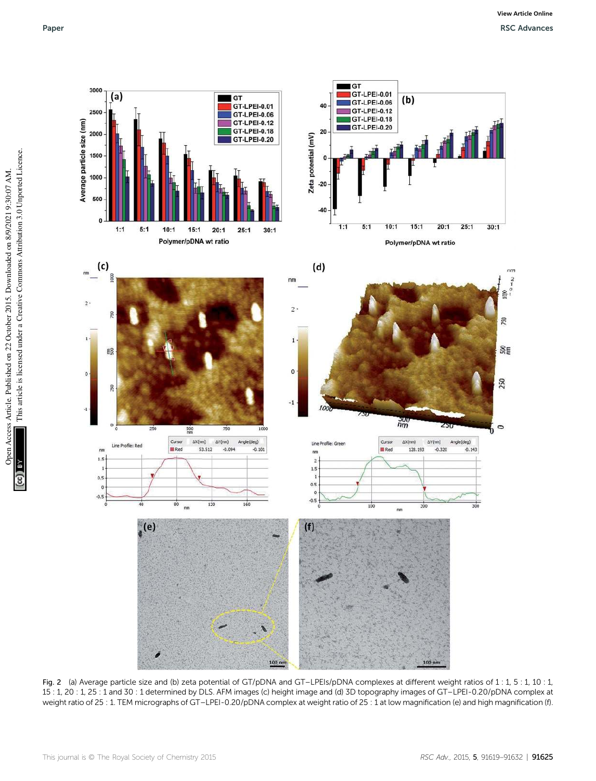

Fig. 2 (a) Average particle size and (b) zeta potential of GT/pDNA and GT-LPEIs/pDNA complexes at different weight ratios of 1 : 1, 5 : 1, 10 : 1, 15 : 1, 20 : 1, 25 : 1 and 30 : 1 determined by DLS. AFM images (c) height image and (d) 3D topography images of GT–LPEI-0.20/pDNA complex at weight ratio of 25 : 1. TEM micrographs of GT-LPEI-0.20/pDNA complex at weight ratio of 25 : 1 at low magnification (e) and high magnification (f).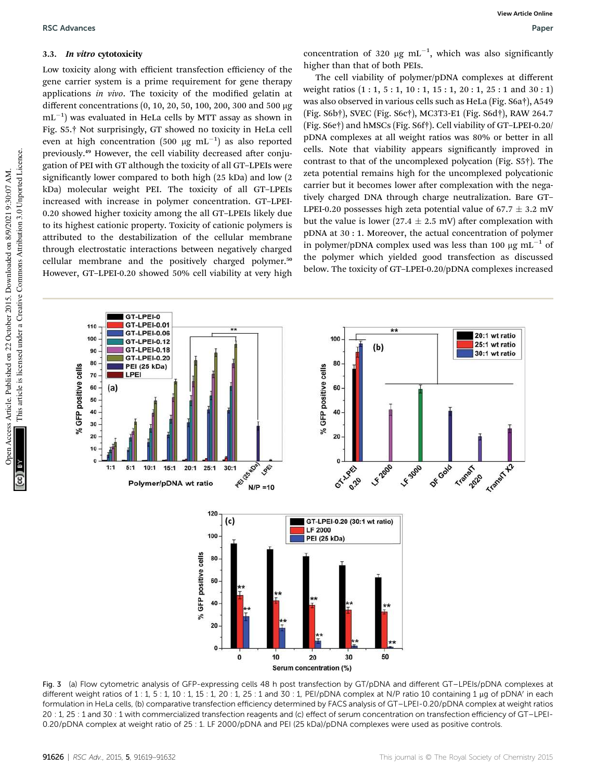## 3.3. In vitro cytotoxicity

Low toxicity along with efficient transfection efficiency of the gene carrier system is a prime requirement for gene therapy applications *in vivo*. The toxicity of the modified gelatin at different concentrations (0, 10, 20, 50, 100, 200, 300 and 500 mg  $\rm{mL^{-1}}$ ) was evaluated in HeLa cells by MTT assay as shown in Fig. S5.† Not surprisingly, GT showed no toxicity in HeLa cell even at high concentration (500  $\mu\text{g}$   $\text{mL}^{-1}$ ) as also reported previously.<sup>49</sup> However, the cell viability decreased after conjugation of PEI with GT although the toxicity of all GT–LPEIs were significantly lower compared to both high (25 kDa) and low (2 kDa) molecular weight PEI. The toxicity of all GT–LPEIs increased with increase in polymer concentration. GT–LPEI-0.20 showed higher toxicity among the all GT–LPEIs likely due to its highest cationic property. Toxicity of cationic polymers is attributed to the destabilization of the cellular membrane through electrostatic interactions between negatively charged cellular membrane and the positively charged polymer.<sup>50</sup> However, GT–LPEI-0.20 showed 50% cell viability at very high

concentration of 320  $\mu$ g mL<sup>-1</sup>, which was also significantly higher than that of both PEIs.

The cell viability of polymer/pDNA complexes at different weight ratios  $(1:1, 5:1, 10:1, 15:1, 20:1, 25:1$  and  $30:1)$ was also observed in various cells such as HeLa (Fig. S6a†), A549 (Fig. S6b†), SVEC (Fig. S6c†), MC3T3-E1 (Fig. S6d†), RAW 264.7 (Fig. S6e†) and hMSCs (Fig. S6f†). Cell viability of GT–LPEI-0.20/ pDNA complexes at all weight ratios was 80% or better in all cells. Note that viability appears significantly improved in contrast to that of the uncomplexed polycation (Fig. S5†). The zeta potential remains high for the uncomplexed polycationic carrier but it becomes lower after complexation with the negatively charged DNA through charge neutralization. Bare GT– LPEI-0.20 possesses high zeta potential value of  $67.7 \pm 3.2$  mV but the value is lower (27.4  $\pm$  2.5 mV) after complexation with pDNA at 30 : 1. Moreover, the actual concentration of polymer in polymer/pDNA complex used was less than 100  $\mu$ g mL<sup>-1</sup> of the polymer which yielded good transfection as discussed below. The toxicity of GT–LPEI-0.20/pDNA complexes increased



Fig. 3 (a) Flow cytometric analysis of GFP-expressing cells 48 h post transfection by GT/pDNA and different GT–LPEIs/pDNA complexes at different weight ratios of  $1:1$ ,  $5:1$ ,  $10:1$ ,  $15:1$ ,  $20:1$ ,  $25:1$  and  $30:1$ , PEI/pDNA complex at N/P ratio  $10$  containing  $1 \mu$ g of pDNA' in each formulation in HeLa cells, (b) comparative transfection efficiency determined by FACS analysis of GT–LPEI-0.20/pDNA complex at weight ratios 20 : 1, 25 : 1 and 30 : 1 with commercialized transfection reagents and (c) effect of serum concentration on transfection efficiency of GT–LPEI-0.20/pDNA complex at weight ratio of 25 : 1. LF 2000/pDNA and PEI (25 kDa)/pDNA complexes were used as positive controls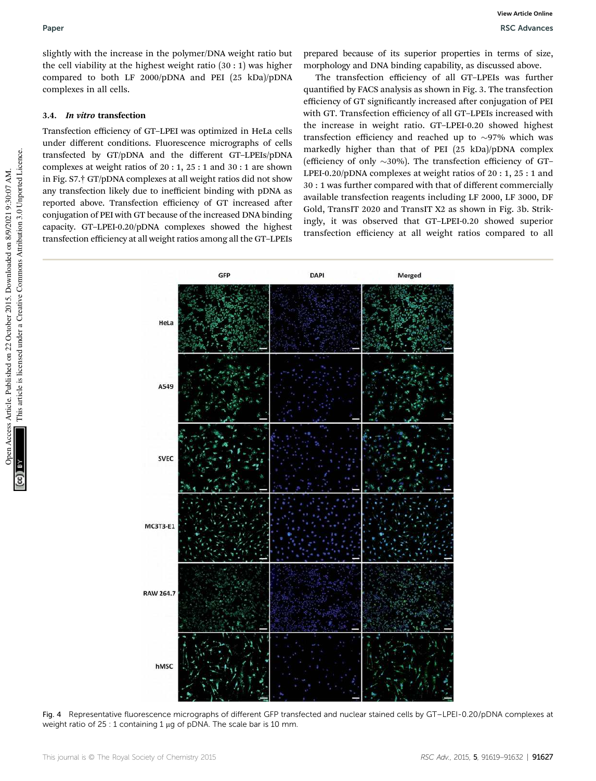slightly with the increase in the polymer/DNA weight ratio but the cell viability at the highest weight ratio (30 : 1) was higher compared to both LF 2000/pDNA and PEI (25 kDa)/pDNA complexes in all cells.

## 3.4. In vitro transfection

Transfection efficiency of GT–LPEI was optimized in HeLa cells under different conditions. Fluorescence micrographs of cells transfected by GT/pDNA and the different GT–LPEIs/pDNA complexes at weight ratios of 20 : 1, 25 : 1 and 30 : 1 are shown in Fig. S7.† GT/pDNA complexes at all weight ratios did not show any transfection likely due to inefficient binding with pDNA as reported above. Transfection efficiency of GT increased after conjugation of PEI with GT because of the increased DNA binding capacity. GT–LPEI-0.20/pDNA complexes showed the highest transfection efficiency at all weight ratios among all the GT–LPEIs

prepared because of its superior properties in terms of size, morphology and DNA binding capability, as discussed above.

The transfection efficiency of all GT–LPEIs was further quantified by FACS analysis as shown in Fig. 3. The transfection efficiency of GT significantly increased after conjugation of PEI with GT. Transfection efficiency of all GT–LPEIs increased with the increase in weight ratio. GT–LPEI-0.20 showed highest transfection efficiency and reached up to  $\sim$ 97% which was markedly higher than that of PEI (25 kDa)/pDNA complex (efficiency of only  $\sim$ 30%). The transfection efficiency of GT– LPEI-0.20/pDNA complexes at weight ratios of 20 : 1, 25 : 1 and 30 : 1 was further compared with that of different commercially available transfection reagents including LF 2000, LF 3000, DF Gold, TransIT 2020 and TransIT X2 as shown in Fig. 3b. Strikingly, it was observed that GT–LPEI-0.20 showed superior transfection efficiency at all weight ratios compared to all



Fig. 4 Representative fluorescence micrographs of different GFP transfected and nuclear stained cells by GT–LPEI-0.20/pDNA complexes at weight ratio of  $25:1$  containing 1  $\mu$ g of pDNA. The scale bar is 10 mm.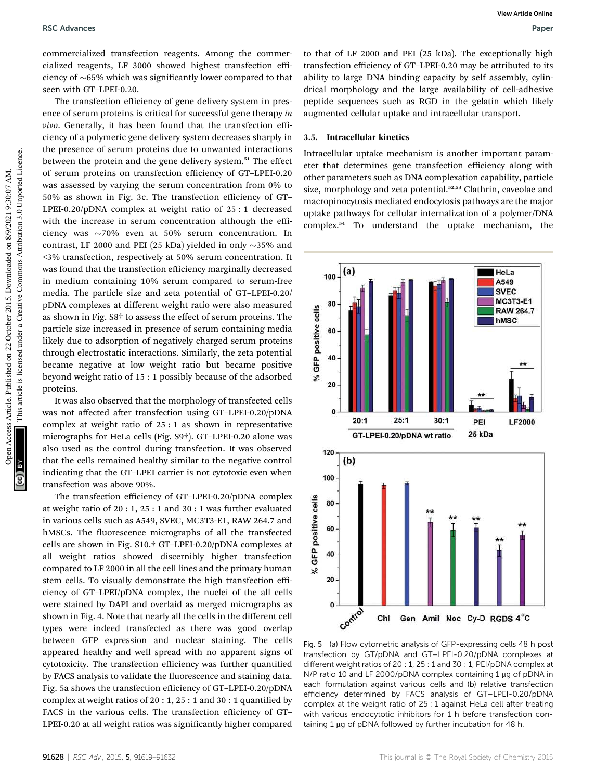commercialized transfection reagents. Among the commercialized reagents, LF 3000 showed highest transfection efficiency of  $~65\%$  which was significantly lower compared to that seen with GT–LPEI-0.20.

The transfection efficiency of gene delivery system in presence of serum proteins is critical for successful gene therapy *in vivo*. Generally, it has been found that the transfection efficiency of a polymeric gene delivery system decreases sharply in the presence of serum proteins due to unwanted interactions between the protein and the gene delivery system.<sup>51</sup> The effect of serum proteins on transfection efficiency of GT–LPEI-0.20 was assessed by varying the serum concentration from 0% to 50% as shown in Fig. 3c. The transfection efficiency of GT– LPEI-0.20/pDNA complex at weight ratio of 25 : 1 decreased with the increase in serum concentration although the efficiency was  $\sim$ 70% even at 50% serum concentration. In contrast, LF 2000 and PEI (25 kDa) yielded in only  $\sim$ 35% and <3% transfection, respectively at 50% serum concentration. It was found that the transfection efficiency marginally decreased in medium containing 10% serum compared to serum-free media. The particle size and zeta potential of GT–LPEI-0.20/ pDNA complexes at different weight ratio were also measured as shown in Fig. S8† to assess the effect of serum proteins. The particle size increased in presence of serum containing media likely due to adsorption of negatively charged serum proteins through electrostatic interactions. Similarly, the zeta potential became negative at low weight ratio but became positive beyond weight ratio of 15 : 1 possibly because of the adsorbed proteins.

It was also observed that the morphology of transfected cells was not affected after transfection using GT-LPEI-0.20/pDNA complex at weight ratio of 25 : 1 as shown in representative micrographs for HeLa cells (Fig. S9†). GT–LPEI-0.20 alone was also used as the control during transfection. It was observed that the cells remained healthy similar to the negative control indicating that the GT–LPEI carrier is not cytotoxic even when transfection was above 90%.

The transfection efficiency of GT–LPEI-0.20/pDNA complex at weight ratio of 20 : 1, 25 : 1 and 30 : 1 was further evaluated in various cells such as A549, SVEC, MC3T3-E1, RAW 264.7 and hMSCs. The fluorescence micrographs of all the transfected cells are shown in Fig. S10.† GT–LPEI-0.20/pDNA complexes at all weight ratios showed discernibly higher transfection compared to LF 2000 in all the cell lines and the primary human stem cells. To visually demonstrate the high transfection efficiency of GT–LPEI/pDNA complex, the nuclei of the all cells were stained by DAPI and overlaid as merged micrographs as shown in Fig. 4. Note that nearly all the cells in the different cell types were indeed transfected as there was good overlap between GFP expression and nuclear staining. The cells appeared healthy and well spread with no apparent signs of cytotoxicity. The transfection efficiency was further quantified by FACS analysis to validate the fluorescence and staining data. Fig. 5a shows the transfection efficiency of GT–LPEI-0.20/pDNA complex at weight ratios of  $20:1, 25:1$  and  $30:1$  quantified by FACS in the various cells. The transfection efficiency of GT– LPEI-0.20 at all weight ratios was signicantly higher compared

to that of LF 2000 and PEI (25 kDa). The exceptionally high transfection efficiency of GT–LPEI-0.20 may be attributed to its ability to large DNA binding capacity by self assembly, cylindrical morphology and the large availability of cell-adhesive peptide sequences such as RGD in the gelatin which likely augmented cellular uptake and intracellular transport.

#### 3.5. Intracellular kinetics

Intracellular uptake mechanism is another important parameter that determines gene transfection efficiency along with other parameters such as DNA complexation capability, particle size, morphology and zeta potential.<sup>52,53</sup> Clathrin, caveolae and macropinocytosis mediated endocytosis pathways are the major uptake pathways for cellular internalization of a polymer/DNA complex.<sup>54</sup> To understand the uptake mechanism, the



Fig. 5 (a) Flow cytometric analysis of GFP-expressing cells 48 h post transfection by GT/pDNA and GT–LPEI-0.20/pDNA complexes at different weight ratios of 20 : 1, 25 : 1 and 30 : 1, PEI/pDNA complex at N/P ratio 10 and LF 2000/pDNA complex containing 1  $\mu$ g of pDNA in each formulation against various cells and (b) relative transfection efficiency determined by FACS analysis of GT–LPEI-0.20/pDNA complex at the weight ratio of 25 : 1 against HeLa cell after treating with various endocytotic inhibitors for 1 h before transfection containing 1 µg of pDNA followed by further incubation for 48 h.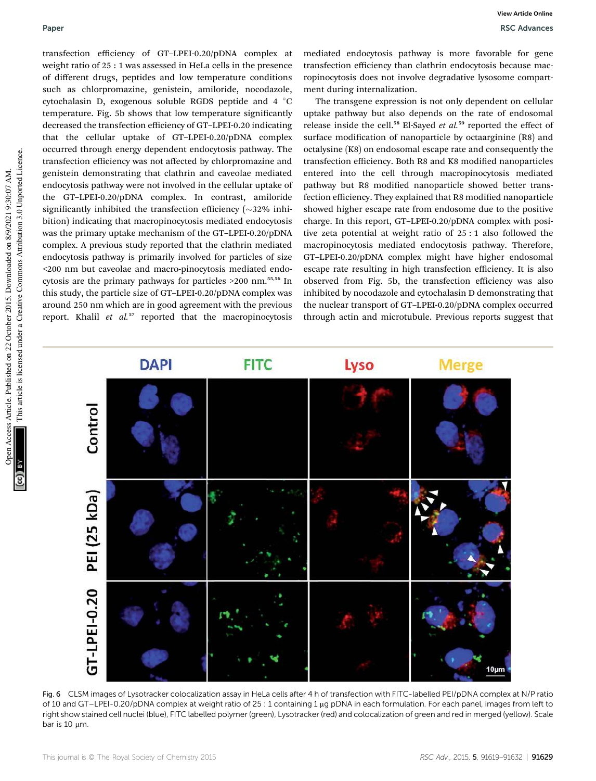transfection efficiency of GT–LPEI-0.20/pDNA complex at weight ratio of 25 : 1 was assessed in HeLa cells in the presence of different drugs, peptides and low temperature conditions such as chlorpromazine, genistein, amiloride, nocodazole, cytochalasin D, exogenous soluble RGDS peptide and  $4 \degree C$ temperature. Fig. 5b shows that low temperature signicantly decreased the transfection efficiency of GT–LPEI-0.20 indicating that the cellular uptake of GT–LPEI-0.20/pDNA complex occurred through energy dependent endocytosis pathway. The transfection efficiency was not affected by chlorpromazine and genistein demonstrating that clathrin and caveolae mediated endocytosis pathway were not involved in the cellular uptake of the GT–LPEI-0.20/pDNA complex. In contrast, amiloride significantly inhibited the transfection efficiency  $(\sim]32\%$  inhibition) indicating that macropinocytosis mediated endocytosis was the primary uptake mechanism of the GT–LPEI-0.20/pDNA complex. A previous study reported that the clathrin mediated endocytosis pathway is primarily involved for particles of size <200 nm but caveolae and macro-pinocytosis mediated endocytosis are the primary pathways for particles >200 nm.55,56 In this study, the particle size of GT–LPEI-0.20/pDNA complex was around 250 nm which are in good agreement with the previous report. Khalil *et al.*<sup>57</sup> reported that the macropinocytosis

mediated endocytosis pathway is more favorable for gene transfection efficiency than clathrin endocytosis because macropinocytosis does not involve degradative lysosome compartment during internalization.

The transgene expression is not only dependent on cellular uptake pathway but also depends on the rate of endosomal release inside the cell.<sup>58</sup> El-Sayed *et al.*<sup>59</sup> reported the effect of surface modification of nanoparticle by octaarginine (R8) and octalysine (K8) on endosomal escape rate and consequently the transfection efficiency. Both R8 and K8 modified nanoparticles entered into the cell through macropinocytosis mediated pathway but R8 modified nanoparticle showed better transfection efficiency. They explained that R8 modified nanoparticle showed higher escape rate from endosome due to the positive charge. In this report, GT–LPEI-0.20/pDNA complex with positive zeta potential at weight ratio of 25 : 1 also followed the macropinocytosis mediated endocytosis pathway. Therefore, GT–LPEI-0.20/pDNA complex might have higher endosomal escape rate resulting in high transfection efficiency. It is also observed from Fig. 5b, the transfection efficiency was also inhibited by nocodazole and cytochalasin D demonstrating that the nuclear transport of GT–LPEI-0.20/pDNA complex occurred through actin and microtubule. Previous reports suggest that



Fig. 6 CLSM images of Lysotracker colocalization assay in HeLa cells after 4 h of transfection with FITC-labelled PEI/pDNA complex at N/P ratio of 10 and GT-LPEI-0.20/pDNA complex at weight ratio of 25 : 1 containing 1 µg pDNA in each formulation. For each panel, images from left to right show stained cell nuclei (blue), FITC labelled polymer (green), Lysotracker (red) and colocalization of green and red in merged (yellow). Scale bar is  $10 \mu m$ .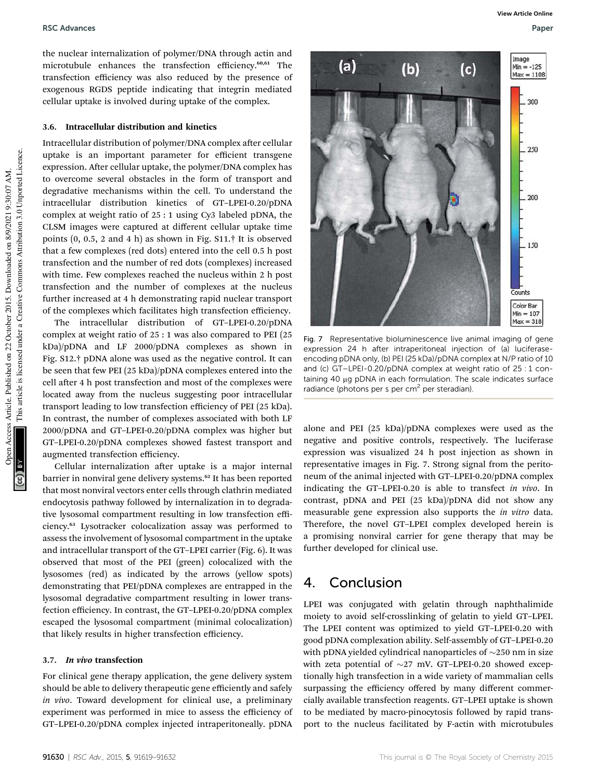### RSC Advances **RSC Advances** Paper **RSC Advances** Paper **Paper Paper Paper Paper** Paper Paper Paper Paper Paper Paper Paper Paper Paper Paper Paper Paper Paper Paper Paper Paper Paper Paper Paper Paper Paper Paper Paper Pap

the nuclear internalization of polymer/DNA through actin and microtubule enhances the transfection efficiency.<sup>60,61</sup> The transfection efficiency was also reduced by the presence of exogenous RGDS peptide indicating that integrin mediated cellular uptake is involved during uptake of the complex.

#### 3.6. Intracellular distribution and kinetics

Intracellular distribution of polymer/DNA complex after cellular uptake is an important parameter for efficient transgene expression. After cellular uptake, the polymer/DNA complex has to overcome several obstacles in the form of transport and degradative mechanisms within the cell. To understand the intracellular distribution kinetics of GT–LPEI-0.20/pDNA complex at weight ratio of 25 : 1 using Cy3 labeled pDNA, the CLSM images were captured at different cellular uptake time points (0, 0.5, 2 and 4 h) as shown in Fig. S11.† It is observed that a few complexes (red dots) entered into the cell 0.5 h post transfection and the number of red dots (complexes) increased with time. Few complexes reached the nucleus within 2 h post transfection and the number of complexes at the nucleus further increased at 4 h demonstrating rapid nuclear transport of the complexes which facilitates high transfection efficiency.

The intracellular distribution of GT–LPEI-0.20/pDNA complex at weight ratio of 25 : 1 was also compared to PEI (25 kDa)/pDNA and LF 2000/pDNA complexes as shown in Fig. S12.† pDNA alone was used as the negative control. It can be seen that few PEI (25 kDa)/pDNA complexes entered into the cell after 4 h post transfection and most of the complexes were located away from the nucleus suggesting poor intracellular transport leading to low transfection efficiency of PEI (25 kDa). In contrast, the number of complexes associated with both LF 2000/pDNA and GT–LPEI-0.20/pDNA complex was higher but GT–LPEI-0.20/pDNA complexes showed fastest transport and augmented transfection efficiency.

Cellular internalization after uptake is a major internal barrier in nonviral gene delivery systems.<sup>62</sup> It has been reported that most nonviral vectors enter cells through clathrin mediated endocytosis pathway followed by internalization in to degradative lysosomal compartment resulting in low transfection efficiency.<sup>63</sup> Lysotracker colocalization assay was performed to assess the involvement of lysosomal compartment in the uptake and intracellular transport of the GT–LPEI carrier (Fig. 6). It was observed that most of the PEI (green) colocalized with the lysosomes (red) as indicated by the arrows (yellow spots) demonstrating that PEI/pDNA complexes are entrapped in the lysosomal degradative compartment resulting in lower transfection efficiency. In contrast, the GT–LPEI-0.20/pDNA complex escaped the lysosomal compartment (minimal colocalization) that likely results in higher transfection efficiency.

#### 3.7. In vivo transfection

For clinical gene therapy application, the gene delivery system should be able to delivery therapeutic gene efficiently and safely *in vivo*. Toward development for clinical use, a preliminary experiment was performed in mice to assess the efficiency of GT–LPEI-0.20/pDNA complex injected intraperitoneally. pDNA

**View Article Online**



Fig. 7 Representative bioluminescence live animal imaging of gene expression 24 h after intraperitoneal injection of (a) luciferaseencoding pDNA only, (b) PEI (25 kDa)/pDNA complex at N/P ratio of 10 and (c) GT–LPEI-0.20/pDNA complex at weight ratio of 25 : 1 containing 40 µg pDNA in each formulation. The scale indicates surface radiance (photons per s per cm<sup>2</sup> per steradian).

alone and PEI (25 kDa)/pDNA complexes were used as the negative and positive controls, respectively. The luciferase expression was visualized 24 h post injection as shown in representative images in Fig. 7. Strong signal from the peritoneum of the animal injected with GT–LPEI-0.20/pDNA complex indicating the GT–LPEI-0.20 is able to transfect *in vivo*. In contrast, pDNA and PEI (25 kDa)/pDNA did not show any measurable gene expression also supports the *in vitro* data. Therefore, the novel GT–LPEI complex developed herein is a promising nonviral carrier for gene therapy that may be further developed for clinical use.

## 4. Conclusion

LPEI was conjugated with gelatin through naphthalimide moiety to avoid self-crosslinking of gelatin to yield GT–LPEI. The LPEI content was optimized to yield GT–LPEI-0.20 with good pDNA complexation ability. Self-assembly of GT–LPEI-0.20 with pDNA yielded cylindrical nanoparticles of  $\sim$ 250 nm in size with zeta potential of  $\sim$ 27 mV. GT-LPEI-0.20 showed exceptionally high transfection in a wide variety of mammalian cells surpassing the efficiency offered by many different commercially available transfection reagents. GT–LPEI uptake is shown to be mediated by macro-pinocytosis followed by rapid transport to the nucleus facilitated by F-actin with microtubules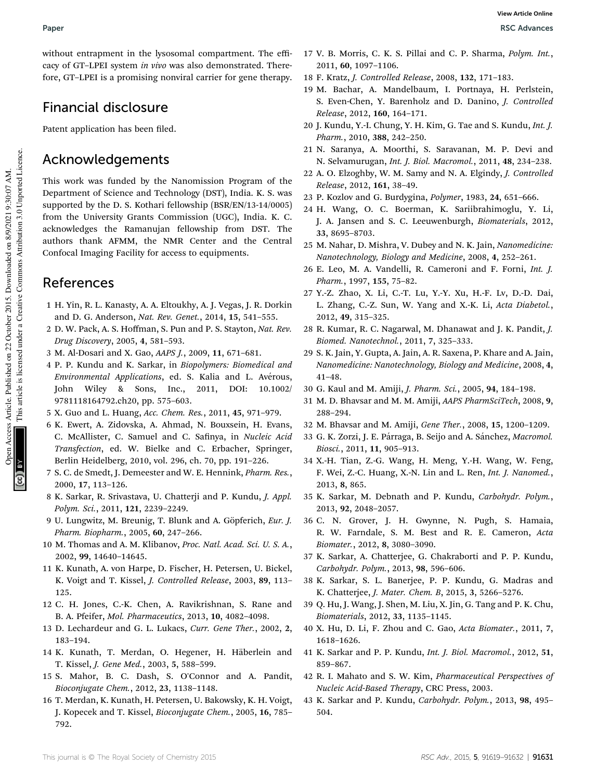without entrapment in the lysosomal compartment. The efficacy of GT–LPEI system *in vivo* was also demonstrated. Therefore, GT–LPEI is a promising nonviral carrier for gene therapy.

## Financial disclosure

Patent application has been filed.

## Acknowledgements

This work was funded by the Nanomission Program of the Department of Science and Technology (DST), India. K. S. was supported by the D. S. Kothari fellowship (BSR/EN/13-14/0005) from the University Grants Commission (UGC), India. K. C. acknowledges the Ramanujan fellowship from DST. The authors thank AFMM, the NMR Center and the Central Confocal Imaging Facility for access to equipments.

## References

- 1 H. Yin, R. L. Kanasty, A. A. Eltoukhy, A. J. Vegas, J. R. Dorkin and D. G. Anderson, *Nat. Rev. Genet.*, 2014, 15, 541–555.
- 2 D. W. Pack, A. S. Hoffman, S. Pun and P. S. Stayton, *Nat. Rev. Drug Discovery*, 2005, 4, 581–593.
- 3 M. Al-Dosari and X. Gao, *AAPS J.*, 2009, 11, 671–681.
- 4 P. P. Kundu and K. Sarkar, in *Biopolymers: Biomedical and Environmental Applications*, ed. S. Kalia and L. Avérous, John Wiley & Sons, Inc., 2011, DOI: 10.1002/ 9781118164792.ch20, pp. 575–603.
- 5 X. Guo and L. Huang, *Acc. Chem. Res.*, 2011, 45, 971–979.
- 6 K. Ewert, A. Zidovska, A. Ahmad, N. Bouxsein, H. Evans, C. McAllister, C. Samuel and C. Safinya, in *Nucleic Acid Transfection*, ed. W. Bielke and C. Erbacher, Springer, Berlin Heidelberg, 2010, vol. 296, ch. 70, pp. 191–226.
- 7 S. C. de Smedt, J. Demeester and W. E. Hennink, *Pharm. Res.*, 2000, 17, 113–126.
- 8 K. Sarkar, R. Srivastava, U. Chatterji and P. Kundu, *J. Appl. Polym. Sci.*, 2011, 121, 2239–2249.
- 9 U. Lungwitz, M. Breunig, T. Blunk and A. Göpferich, *Eur. J. Pharm. Biopharm.*, 2005, 60, 247–266.
- 10 M. Thomas and A. M. Klibanov, *Proc. Natl. Acad. Sci. U. S. A.*, 2002, 99, 14640–14645.
- 11 K. Kunath, A. von Harpe, D. Fischer, H. Petersen, U. Bickel, K. Voigt and T. Kissel, *J. Controlled Release*, 2003, 89, 113– 125.
- 12 C. H. Jones, C.-K. Chen, A. Ravikrishnan, S. Rane and B. A. Pfeifer, *Mol. Pharmaceutics*, 2013, 10, 4082–4098.
- 13 D. Lechardeur and G. L. Lukacs, *Curr. Gene Ther.*, 2002, 2, 183–194.
- 14 K. Kunath, T. Merdan, O. Hegener, H. Häberlein and T. Kissel, *J. Gene Med.*, 2003, 5, 588–599.
- 15 S. Mahor, B. C. Dash, S. O'Connor and A. Pandit, *Bioconjugate Chem.*, 2012, 23, 1138–1148.
- 16 T. Merdan, K. Kunath, H. Petersen, U. Bakowsky, K. H. Voigt, J. Kopecek and T. Kissel, *Bioconjugate Chem.*, 2005, 16, 785– 792.
- 17 V. B. Morris, C. K. S. Pillai and C. P. Sharma, *Polym. Int.*, 2011, 60, 1097–1106.
- 18 F. Kratz, *J. Controlled Release*, 2008, 132, 171–183.
- 19 M. Bachar, A. Mandelbaum, I. Portnaya, H. Perlstein, S. Even-Chen, Y. Barenholz and D. Danino, *J. Controlled Release*, 2012, 160, 164–171.
- 20 J. Kundu, Y.-I. Chung, Y. H. Kim, G. Tae and S. Kundu, *Int. J. Pharm.*, 2010, 388, 242–250.
- 21 N. Saranya, A. Moorthi, S. Saravanan, M. P. Devi and N. Selvamurugan, *Int. J. Biol. Macromol.*, 2011, 48, 234–238.
- 22 A. O. Elzoghby, W. M. Samy and N. A. Elgindy, *J. Controlled Release*, 2012, 161, 38–49.
- 23 P. Kozlov and G. Burdygina, *Polymer*, 1983, 24, 651–666.
- 24 H. Wang, O. C. Boerman, K. Sariibrahimoglu, Y. Li, J. A. Jansen and S. C. Leeuwenburgh, *Biomaterials*, 2012, 33, 8695–8703.
- 25 M. Nahar, D. Mishra, V. Dubey and N. K. Jain, *Nanomedicine: Nanotechnology, Biology and Medicine*, 2008, 4, 252–261.
- 26 E. Leo, M. A. Vandelli, R. Cameroni and F. Forni, *Int. J. Pharm.*, 1997, 155, 75–82.
- 27 Y.-Z. Zhao, X. Li, C.-T. Lu, Y.-Y. Xu, H.-F. Lv, D.-D. Dai, L. Zhang, C.-Z. Sun, W. Yang and X.-K. Li, *Acta Diabetol.*, 2012, 49, 315–325.
- 28 R. Kumar, R. C. Nagarwal, M. Dhanawat and J. K. Pandit, *J. Biomed. Nanotechnol.*, 2011, 7, 325–333.
- 29 S. K. Jain, Y. Gupta, A. Jain, A. R. Saxena, P. Khare and A. Jain, *Nanomedicine: Nanotechnology, Biology and Medicine*, 2008, 4, 41–48.
- 30 G. Kaul and M. Amiji, *J. Pharm. Sci.*, 2005, 94, 184–198.
- 31 M. D. Bhavsar and M. M. Amiji, *AAPS PharmSciTech*, 2008, 9, 288–294.
- 32 M. Bhavsar and M. Amiji, *Gene Ther.*, 2008, 15, 1200–1209.
- 33 G. K. Zorzi, J. E. Párraga, B. Seijo and A. Sánchez, *Macromol. Biosci.*, 2011, 11, 905–913.
- 34 X.-H. Tian, Z.-G. Wang, H. Meng, Y.-H. Wang, W. Feng, F. Wei, Z.-C. Huang, X.-N. Lin and L. Ren, *Int. J. Nanomed.*, 2013, 8, 865.
- 35 K. Sarkar, M. Debnath and P. Kundu, *Carbohydr. Polym.*, 2013, 92, 2048–2057.
- 36 C. N. Grover, J. H. Gwynne, N. Pugh, S. Hamaia, R. W. Farndale, S. M. Best and R. E. Cameron, *Acta Biomater.*, 2012, 8, 3080–3090.
- 37 K. Sarkar, A. Chatterjee, G. Chakraborti and P. P. Kundu, *Carbohydr. Polym.*, 2013, 98, 596–606.
- 38 K. Sarkar, S. L. Banerjee, P. P. Kundu, G. Madras and K. Chatterjee, *J. Mater. Chem. B*, 2015, 3, 5266–5276.
- 39 Q. Hu, J. Wang, J. Shen, M. Liu, X. Jin, G. Tang and P. K. Chu, *Biomaterials*, 2012, 33, 1135–1145.
- 40 X. Hu, D. Li, F. Zhou and C. Gao, *Acta Biomater.*, 2011, 7, 1618–1626.
- 41 K. Sarkar and P. P. Kundu, *Int. J. Biol. Macromol.*, 2012, 51, 859–867.
- 42 R. I. Mahato and S. W. Kim, *Pharmaceutical Perspectives of Nucleic Acid-Based Therapy*, CRC Press, 2003.
- 43 K. Sarkar and P. Kundu, *Carbohydr. Polym.*, 2013, 98, 495– 504.